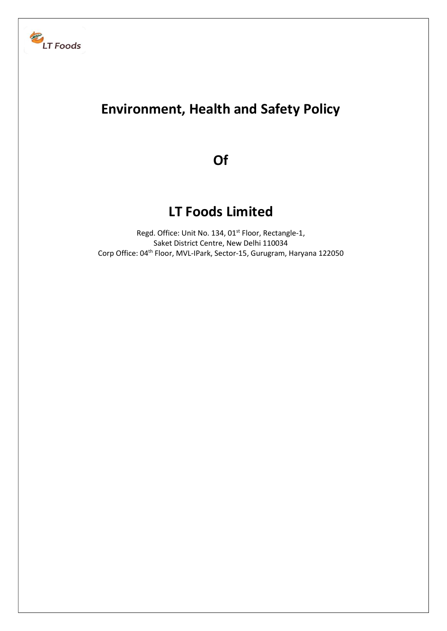

# Environment, Health and Safety Policy

Of

## LT Foods Limited

Regd. Office: Unit No. 134, 01<sup>st</sup> Floor, Rectangle-1, Saket District Centre, New Delhi 110034 Corp Office: 04th Floor, MVL-IPark, Sector-15, Gurugram, Haryana 122050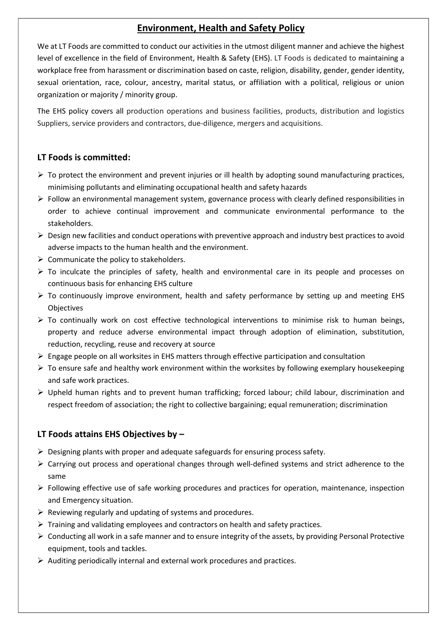## Environment, Health and Safety Policy

We at LT Foods are committed to conduct our activities in the utmost diligent manner and achieve the highest level of excellence in the field of Environment, Health & Safety (EHS). LT Foods is dedicated to maintaining a workplace free from harassment or discrimination based on caste, religion, disability, gender, gender identity, sexual orientation, race, colour, ancestry, marital status, or affiliation with a political, religious or union organization or majority / minority group.

The EHS policy covers all production operations and business facilities, products, distribution and logistics Suppliers, service providers and contractors, due-diligence, mergers and acquisitions.

#### LT Foods is committed:

- $\triangleright$  To protect the environment and prevent injuries or ill health by adopting sound manufacturing practices, minimising pollutants and eliminating occupational health and safety hazards
- $\triangleright$  Follow an environmental management system, governance process with clearly defined responsibilities in order to achieve continual improvement and communicate environmental performance to the stakeholders.
- $\triangleright$  Design new facilities and conduct operations with preventive approach and industry best practices to avoid adverse impacts to the human health and the environment.
- $\triangleright$  Communicate the policy to stakeholders.
- $\triangleright$  To inculcate the principles of safety, health and environmental care in its people and processes on continuous basis for enhancing EHS culture
- $\triangleright$  To continuously improve environment, health and safety performance by setting up and meeting EHS Objectives
- $\triangleright$  To continually work on cost effective technological interventions to minimise risk to human beings, property and reduce adverse environmental impact through adoption of elimination, substitution, reduction, recycling, reuse and recovery at source
- $\triangleright$  Engage people on all worksites in EHS matters through effective participation and consultation
- $\triangleright$  To ensure safe and healthy work environment within the worksites by following exemplary housekeeping and safe work practices.
- Upheld human rights and to prevent human trafficking; forced labour; child labour, discrimination and respect freedom of association; the right to collective bargaining; equal remuneration; discrimination

### LT Foods attains EHS Objectives by –

- $\triangleright$  Designing plants with proper and adequate safeguards for ensuring process safety.
- $\triangleright$  Carrying out process and operational changes through well-defined systems and strict adherence to the same
- $\triangleright$  Following effective use of safe working procedures and practices for operation, maintenance, inspection and Emergency situation.
- $\triangleright$  Reviewing regularly and updating of systems and procedures.
- $\triangleright$  Training and validating employees and contractors on health and safety practices.
- $\triangleright$  Conducting all work in a safe manner and to ensure integrity of the assets, by providing Personal Protective equipment, tools and tackles.
- $\triangleright$  Auditing periodically internal and external work procedures and practices.